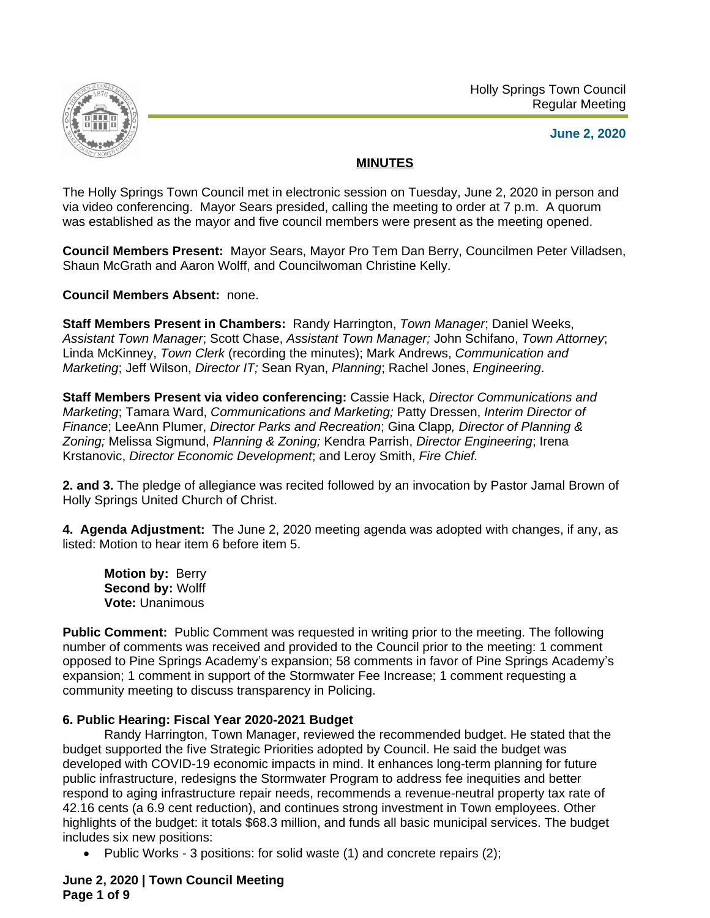



**June 2, 2020**

# **MINUTES**

The Holly Springs Town Council met in electronic session on Tuesday, June 2, 2020 in person and via video conferencing. Mayor Sears presided, calling the meeting to order at 7 p.m. A quorum was established as the mayor and five council members were present as the meeting opened.

**Council Members Present:** Mayor Sears, Mayor Pro Tem Dan Berry, Councilmen Peter Villadsen, Shaun McGrath and Aaron Wolff, and Councilwoman Christine Kelly.

**Council Members Absent:** none.

**Staff Members Present in Chambers:** Randy Harrington, *Town Manager*; Daniel Weeks, *Assistant Town Manager*; Scott Chase, *Assistant Town Manager;* John Schifano, *Town Attorney*; Linda McKinney, *Town Clerk* (recording the minutes); Mark Andrews, *Communication and Marketing*; Jeff Wilson, *Director IT;* Sean Ryan, *Planning*; Rachel Jones, *Engineering*.

**Staff Members Present via video conferencing:** Cassie Hack, *Director Communications and Marketing*; Tamara Ward, *Communications and Marketing;* Patty Dressen, *Interim Director of Finance*; LeeAnn Plumer, *Director Parks and Recreation*; Gina Clapp*, Director of Planning & Zoning;* Melissa Sigmund, *Planning & Zoning;* Kendra Parrish, *Director Engineering*; Irena Krstanovic, *Director Economic Development*; and Leroy Smith, *Fire Chief.*

**2. and 3.** The pledge of allegiance was recited followed by an invocation by Pastor Jamal Brown of Holly Springs United Church of Christ.

**4. Agenda Adjustment:** The June 2, 2020 meeting agenda was adopted with changes, if any, as listed: Motion to hear item 6 before item 5.

**Motion by:** Berry **Second by:** Wolff **Vote:** Unanimous

**Public Comment:** Public Comment was requested in writing prior to the meeting. The following number of comments was received and provided to the Council prior to the meeting: 1 comment opposed to Pine Springs Academy's expansion; 58 comments in favor of Pine Springs Academy's expansion; 1 comment in support of the Stormwater Fee Increase; 1 comment requesting a community meeting to discuss transparency in Policing.

# **6. Public Hearing: Fiscal Year 2020-2021 Budget**

Randy Harrington, Town Manager, reviewed the recommended budget. He stated that the budget supported the five Strategic Priorities adopted by Council. He said the budget was developed with COVID-19 economic impacts in mind. It enhances long-term planning for future public infrastructure, redesigns the Stormwater Program to address fee inequities and better respond to aging infrastructure repair needs, recommends a revenue-neutral property tax rate of 42.16 cents (a 6.9 cent reduction), and continues strong investment in Town employees. Other highlights of the budget: it totals \$68.3 million, and funds all basic municipal services. The budget includes six new positions:

Public Works - 3 positions: for solid waste (1) and concrete repairs (2);

# **June 2, 2020 | Town Council Meeting Page 1 of 9**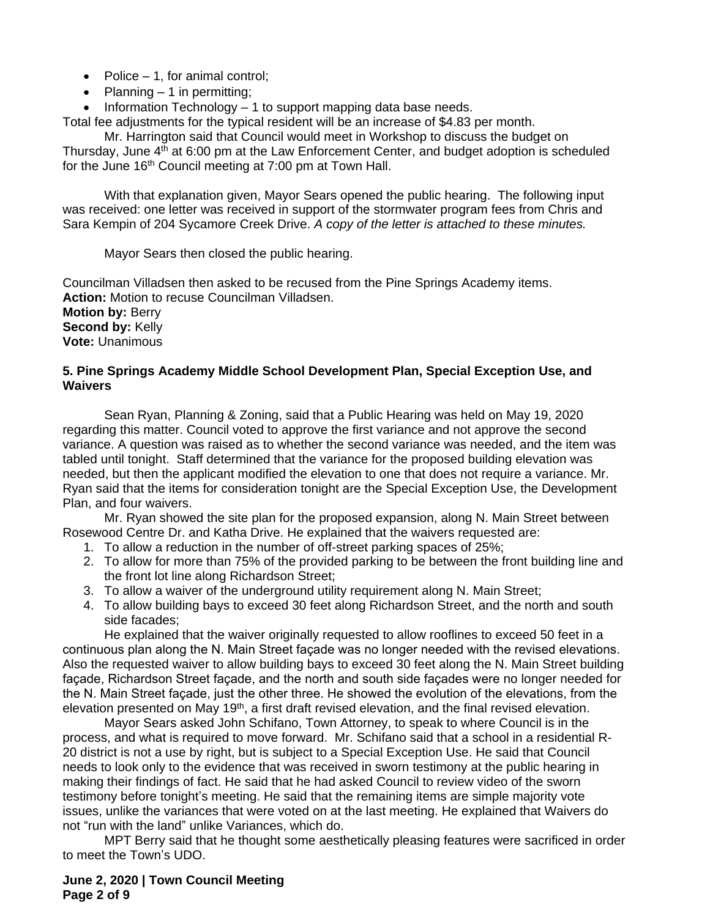- Police  $-1$ , for animal control;
- Planning 1 in permitting;

· Information Technology – 1 to support mapping data base needs.

Total fee adjustments for the typical resident will be an increase of \$4.83 per month.

Mr. Harrington said that Council would meet in Workshop to discuss the budget on Thursday, June  $4<sup>th</sup>$  at 6:00 pm at the Law Enforcement Center, and budget adoption is scheduled for the June 16<sup>th</sup> Council meeting at 7:00 pm at Town Hall.

With that explanation given, Mayor Sears opened the public hearing. The following input was received: one letter was received in support of the stormwater program fees from Chris and Sara Kempin of 204 Sycamore Creek Drive. *A copy of the letter is attached to these minutes.*

Mayor Sears then closed the public hearing.

Councilman Villadsen then asked to be recused from the Pine Springs Academy items. **Action:** Motion to recuse Councilman Villadsen. **Motion by:** Berry **Second by:** Kelly **Vote:** Unanimous

### **5. Pine Springs Academy Middle School Development Plan, Special Exception Use, and Waivers**

Sean Ryan, Planning & Zoning, said that a Public Hearing was held on May 19, 2020 regarding this matter. Council voted to approve the first variance and not approve the second variance. A question was raised as to whether the second variance was needed, and the item was tabled until tonight. Staff determined that the variance for the proposed building elevation was needed, but then the applicant modified the elevation to one that does not require a variance. Mr. Ryan said that the items for consideration tonight are the Special Exception Use, the Development Plan, and four waivers.

Mr. Ryan showed the site plan for the proposed expansion, along N. Main Street between Rosewood Centre Dr. and Katha Drive. He explained that the waivers requested are:

- 1. To allow a reduction in the number of off-street parking spaces of 25%;
- 2. To allow for more than 75% of the provided parking to be between the front building line and the front lot line along Richardson Street;
- 3. To allow a waiver of the underground utility requirement along N. Main Street;
- 4. To allow building bays to exceed 30 feet along Richardson Street, and the north and south side facades;

He explained that the waiver originally requested to allow rooflines to exceed 50 feet in a continuous plan along the N. Main Street façade was no longer needed with the revised elevations. Also the requested waiver to allow building bays to exceed 30 feet along the N. Main Street building façade, Richardson Street façade, and the north and south side façades were no longer needed for the N. Main Street façade, just the other three. He showed the evolution of the elevations, from the elevation presented on May 19<sup>th</sup>, a first draft revised elevation, and the final revised elevation.

Mayor Sears asked John Schifano, Town Attorney, to speak to where Council is in the process, and what is required to move forward. Mr. Schifano said that a school in a residential R-20 district is not a use by right, but is subject to a Special Exception Use. He said that Council needs to look only to the evidence that was received in sworn testimony at the public hearing in making their findings of fact. He said that he had asked Council to review video of the sworn testimony before tonight's meeting. He said that the remaining items are simple majority vote issues, unlike the variances that were voted on at the last meeting. He explained that Waivers do not "run with the land" unlike Variances, which do.

MPT Berry said that he thought some aesthetically pleasing features were sacrificed in order to meet the Town's UDO.

### **June 2, 2020 | Town Council Meeting Page 2 of 9**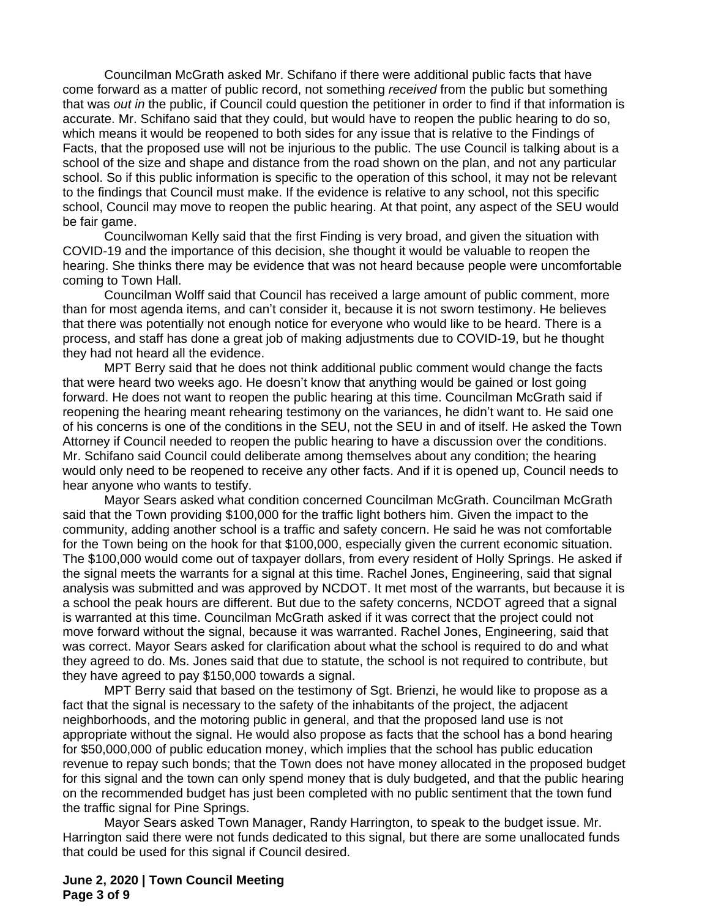Councilman McGrath asked Mr. Schifano if there were additional public facts that have come forward as a matter of public record, not something *received* from the public but something that was *out in* the public, if Council could question the petitioner in order to find if that information is accurate. Mr. Schifano said that they could, but would have to reopen the public hearing to do so, which means it would be reopened to both sides for any issue that is relative to the Findings of Facts, that the proposed use will not be injurious to the public. The use Council is talking about is a school of the size and shape and distance from the road shown on the plan, and not any particular school. So if this public information is specific to the operation of this school, it may not be relevant to the findings that Council must make. If the evidence is relative to any school, not this specific school, Council may move to reopen the public hearing. At that point, any aspect of the SEU would be fair game.

Councilwoman Kelly said that the first Finding is very broad, and given the situation with COVID-19 and the importance of this decision, she thought it would be valuable to reopen the hearing. She thinks there may be evidence that was not heard because people were uncomfortable coming to Town Hall.

Councilman Wolff said that Council has received a large amount of public comment, more than for most agenda items, and can't consider it, because it is not sworn testimony. He believes that there was potentially not enough notice for everyone who would like to be heard. There is a process, and staff has done a great job of making adjustments due to COVID-19, but he thought they had not heard all the evidence.

MPT Berry said that he does not think additional public comment would change the facts that were heard two weeks ago. He doesn't know that anything would be gained or lost going forward. He does not want to reopen the public hearing at this time. Councilman McGrath said if reopening the hearing meant rehearing testimony on the variances, he didn't want to. He said one of his concerns is one of the conditions in the SEU, not the SEU in and of itself. He asked the Town Attorney if Council needed to reopen the public hearing to have a discussion over the conditions. Mr. Schifano said Council could deliberate among themselves about any condition; the hearing would only need to be reopened to receive any other facts. And if it is opened up, Council needs to hear anyone who wants to testify.

Mayor Sears asked what condition concerned Councilman McGrath. Councilman McGrath said that the Town providing \$100,000 for the traffic light bothers him. Given the impact to the community, adding another school is a traffic and safety concern. He said he was not comfortable for the Town being on the hook for that \$100,000, especially given the current economic situation. The \$100,000 would come out of taxpayer dollars, from every resident of Holly Springs. He asked if the signal meets the warrants for a signal at this time. Rachel Jones, Engineering, said that signal analysis was submitted and was approved by NCDOT. It met most of the warrants, but because it is a school the peak hours are different. But due to the safety concerns, NCDOT agreed that a signal is warranted at this time. Councilman McGrath asked if it was correct that the project could not move forward without the signal, because it was warranted. Rachel Jones, Engineering, said that was correct. Mayor Sears asked for clarification about what the school is required to do and what they agreed to do. Ms. Jones said that due to statute, the school is not required to contribute, but they have agreed to pay \$150,000 towards a signal.

MPT Berry said that based on the testimony of Sgt. Brienzi, he would like to propose as a fact that the signal is necessary to the safety of the inhabitants of the project, the adjacent neighborhoods, and the motoring public in general, and that the proposed land use is not appropriate without the signal. He would also propose as facts that the school has a bond hearing for \$50,000,000 of public education money, which implies that the school has public education revenue to repay such bonds; that the Town does not have money allocated in the proposed budget for this signal and the town can only spend money that is duly budgeted, and that the public hearing on the recommended budget has just been completed with no public sentiment that the town fund the traffic signal for Pine Springs.

Mayor Sears asked Town Manager, Randy Harrington, to speak to the budget issue. Mr. Harrington said there were not funds dedicated to this signal, but there are some unallocated funds that could be used for this signal if Council desired.

### **June 2, 2020 | Town Council Meeting Page 3 of 9**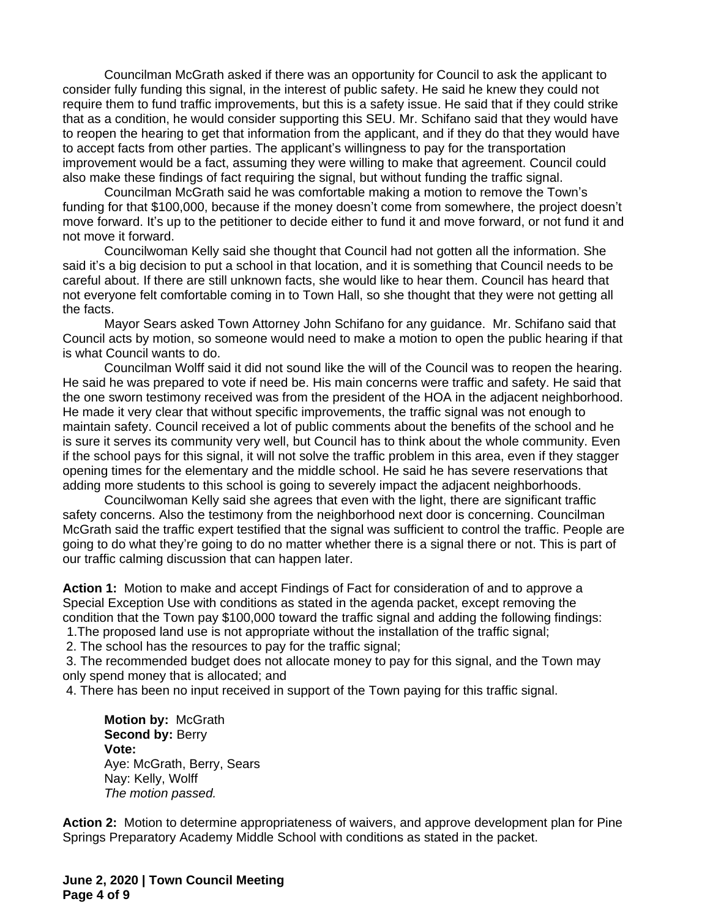Councilman McGrath asked if there was an opportunity for Council to ask the applicant to consider fully funding this signal, in the interest of public safety. He said he knew they could not require them to fund traffic improvements, but this is a safety issue. He said that if they could strike that as a condition, he would consider supporting this SEU. Mr. Schifano said that they would have to reopen the hearing to get that information from the applicant, and if they do that they would have to accept facts from other parties. The applicant's willingness to pay for the transportation improvement would be a fact, assuming they were willing to make that agreement. Council could also make these findings of fact requiring the signal, but without funding the traffic signal.

Councilman McGrath said he was comfortable making a motion to remove the Town's funding for that \$100,000, because if the money doesn't come from somewhere, the project doesn't move forward. It's up to the petitioner to decide either to fund it and move forward, or not fund it and not move it forward.

Councilwoman Kelly said she thought that Council had not gotten all the information. She said it's a big decision to put a school in that location, and it is something that Council needs to be careful about. If there are still unknown facts, she would like to hear them. Council has heard that not everyone felt comfortable coming in to Town Hall, so she thought that they were not getting all the facts.

Mayor Sears asked Town Attorney John Schifano for any guidance. Mr. Schifano said that Council acts by motion, so someone would need to make a motion to open the public hearing if that is what Council wants to do.

Councilman Wolff said it did not sound like the will of the Council was to reopen the hearing. He said he was prepared to vote if need be. His main concerns were traffic and safety. He said that the one sworn testimony received was from the president of the HOA in the adjacent neighborhood. He made it very clear that without specific improvements, the traffic signal was not enough to maintain safety. Council received a lot of public comments about the benefits of the school and he is sure it serves its community very well, but Council has to think about the whole community. Even if the school pays for this signal, it will not solve the traffic problem in this area, even if they stagger opening times for the elementary and the middle school. He said he has severe reservations that adding more students to this school is going to severely impact the adjacent neighborhoods.

Councilwoman Kelly said she agrees that even with the light, there are significant traffic safety concerns. Also the testimony from the neighborhood next door is concerning. Councilman McGrath said the traffic expert testified that the signal was sufficient to control the traffic. People are going to do what they're going to do no matter whether there is a signal there or not. This is part of our traffic calming discussion that can happen later.

**Action 1:** Motion to make and accept Findings of Fact for consideration of and to approve a Special Exception Use with conditions as stated in the agenda packet, except removing the condition that the Town pay \$100,000 toward the traffic signal and adding the following findings:

1.The proposed land use is not appropriate without the installation of the traffic signal;

2. The school has the resources to pay for the traffic signal;

 3. The recommended budget does not allocate money to pay for this signal, and the Town may only spend money that is allocated; and

4. There has been no input received in support of the Town paying for this traffic signal.

**Motion by:** McGrath **Second by: Berry Vote:** Aye: McGrath, Berry, Sears Nay: Kelly, Wolff *The motion passed.*

**Action 2:** Motion to determine appropriateness of waivers, and approve development plan for Pine Springs Preparatory Academy Middle School with conditions as stated in the packet.

**June 2, 2020 | Town Council Meeting Page 4 of 9**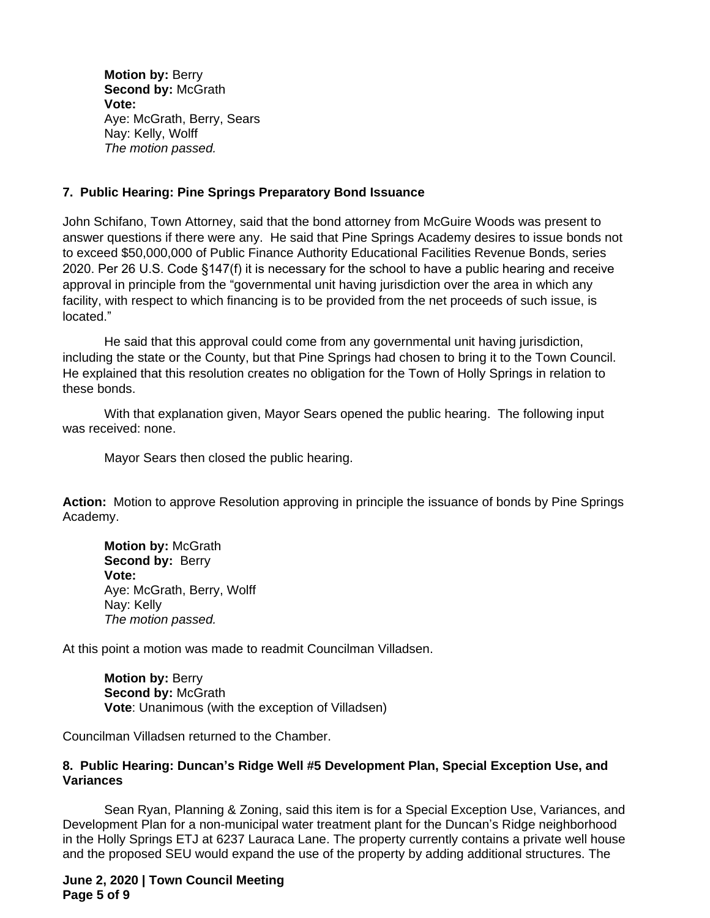**Motion by:** Berry **Second by:** McGrath **Vote:** Aye: McGrath, Berry, Sears Nay: Kelly, Wolff *The motion passed.*

# **7. Public Hearing: Pine Springs Preparatory Bond Issuance**

John Schifano, Town Attorney, said that the bond attorney from McGuire Woods was present to answer questions if there were any. He said that Pine Springs Academy desires to issue bonds not to exceed \$50,000,000 of Public Finance Authority Educational Facilities Revenue Bonds, series 2020. Per 26 U.S. Code §147(f) it is necessary for the school to have a public hearing and receive approval in principle from the "governmental unit having jurisdiction over the area in which any facility, with respect to which financing is to be provided from the net proceeds of such issue, is located."

He said that this approval could come from any governmental unit having jurisdiction, including the state or the County, but that Pine Springs had chosen to bring it to the Town Council. He explained that this resolution creates no obligation for the Town of Holly Springs in relation to these bonds.

With that explanation given, Mayor Sears opened the public hearing. The following input was received: none.

Mayor Sears then closed the public hearing.

**Action:** Motion to approve Resolution approving in principle the issuance of bonds by Pine Springs Academy.

**Motion by:** McGrath Second by: Berry **Vote:** Aye: McGrath, Berry, Wolff Nay: Kelly *The motion passed.*

At this point a motion was made to readmit Councilman Villadsen.

**Motion by:** Berry **Second by: McGrath Vote**: Unanimous (with the exception of Villadsen)

Councilman Villadsen returned to the Chamber.

### **8. Public Hearing: Duncan's Ridge Well #5 Development Plan, Special Exception Use, and Variances**

Sean Ryan, Planning & Zoning, said this item is for a Special Exception Use, Variances, and Development Plan for a non-municipal water treatment plant for the Duncan's Ridge neighborhood in the Holly Springs ETJ at 6237 Lauraca Lane. The property currently contains a private well house and the proposed SEU would expand the use of the property by adding additional structures. The

**June 2, 2020 | Town Council Meeting Page 5 of 9**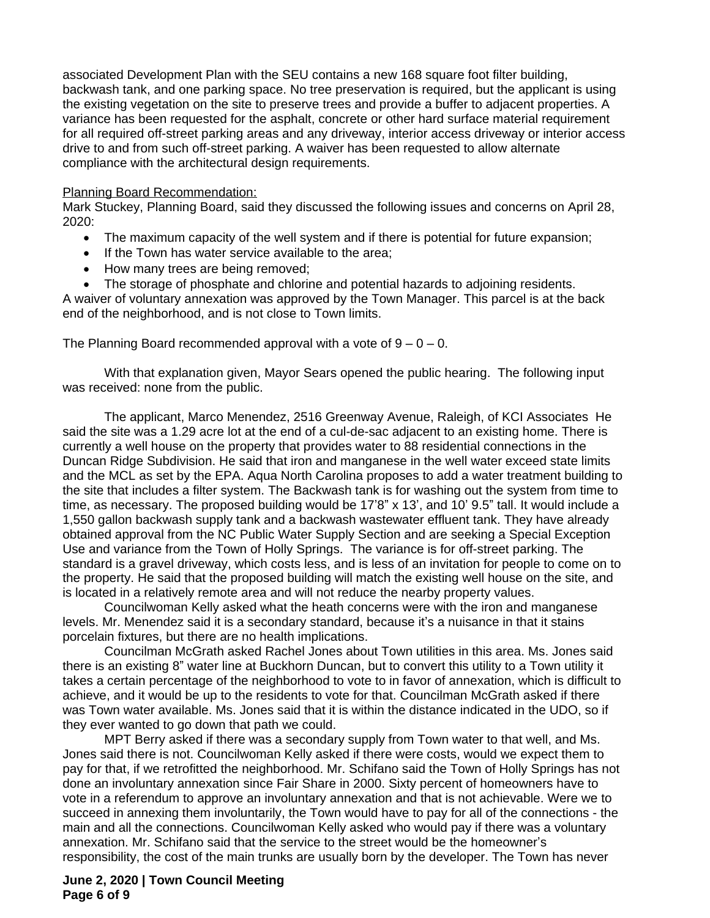associated Development Plan with the SEU contains a new 168 square foot filter building, backwash tank, and one parking space. No tree preservation is required, but the applicant is using the existing vegetation on the site to preserve trees and provide a buffer to adjacent properties. A variance has been requested for the asphalt, concrete or other hard surface material requirement for all required off-street parking areas and any driveway, interior access driveway or interior access drive to and from such off-street parking. A waiver has been requested to allow alternate compliance with the architectural design requirements.

#### Planning Board Recommendation:

Mark Stuckey, Planning Board, said they discussed the following issues and concerns on April 28, 2020:

- · The maximum capacity of the well system and if there is potential for future expansion;
- · If the Town has water service available to the area;
- · How many trees are being removed;

· The storage of phosphate and chlorine and potential hazards to adjoining residents. A waiver of voluntary annexation was approved by the Town Manager. This parcel is at the back end of the neighborhood, and is not close to Town limits.

The Planning Board recommended approval with a vote of  $9 - 0 - 0$ .

With that explanation given, Mayor Sears opened the public hearing. The following input was received: none from the public.

The applicant, Marco Menendez, 2516 Greenway Avenue, Raleigh, of KCI Associates He said the site was a 1.29 acre lot at the end of a cul-de-sac adjacent to an existing home. There is currently a well house on the property that provides water to 88 residential connections in the Duncan Ridge Subdivision. He said that iron and manganese in the well water exceed state limits and the MCL as set by the EPA. Aqua North Carolina proposes to add a water treatment building to the site that includes a filter system. The Backwash tank is for washing out the system from time to time, as necessary. The proposed building would be 17'8" x 13', and 10' 9.5" tall. It would include a 1,550 gallon backwash supply tank and a backwash wastewater effluent tank. They have already obtained approval from the NC Public Water Supply Section and are seeking a Special Exception Use and variance from the Town of Holly Springs. The variance is for off-street parking. The standard is a gravel driveway, which costs less, and is less of an invitation for people to come on to the property. He said that the proposed building will match the existing well house on the site, and is located in a relatively remote area and will not reduce the nearby property values.

Councilwoman Kelly asked what the heath concerns were with the iron and manganese levels. Mr. Menendez said it is a secondary standard, because it's a nuisance in that it stains porcelain fixtures, but there are no health implications.

Councilman McGrath asked Rachel Jones about Town utilities in this area. Ms. Jones said there is an existing 8" water line at Buckhorn Duncan, but to convert this utility to a Town utility it takes a certain percentage of the neighborhood to vote to in favor of annexation, which is difficult to achieve, and it would be up to the residents to vote for that. Councilman McGrath asked if there was Town water available. Ms. Jones said that it is within the distance indicated in the UDO, so if they ever wanted to go down that path we could.

MPT Berry asked if there was a secondary supply from Town water to that well, and Ms. Jones said there is not. Councilwoman Kelly asked if there were costs, would we expect them to pay for that, if we retrofitted the neighborhood. Mr. Schifano said the Town of Holly Springs has not done an involuntary annexation since Fair Share in 2000. Sixty percent of homeowners have to vote in a referendum to approve an involuntary annexation and that is not achievable. Were we to succeed in annexing them involuntarily, the Town would have to pay for all of the connections - the main and all the connections. Councilwoman Kelly asked who would pay if there was a voluntary annexation. Mr. Schifano said that the service to the street would be the homeowner's responsibility, the cost of the main trunks are usually born by the developer. The Town has never

# **June 2, 2020 | Town Council Meeting Page 6 of 9**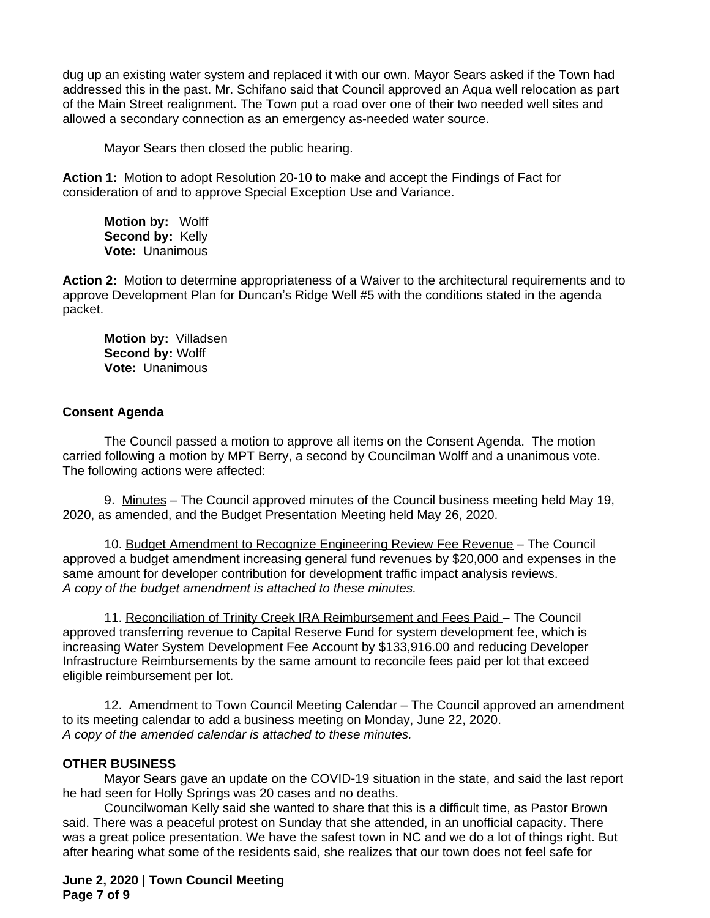dug up an existing water system and replaced it with our own. Mayor Sears asked if the Town had addressed this in the past. Mr. Schifano said that Council approved an Aqua well relocation as part of the Main Street realignment. The Town put a road over one of their two needed well sites and allowed a secondary connection as an emergency as-needed water source.

Mayor Sears then closed the public hearing.

**Action 1:** Motion to adopt Resolution 20-10 to make and accept the Findings of Fact for consideration of and to approve Special Exception Use and Variance.

**Motion by:** Wolff Second by: Kelly **Vote:** Unanimous

**Action 2:** Motion to determine appropriateness of a Waiver to the architectural requirements and to approve Development Plan for Duncan's Ridge Well #5 with the conditions stated in the agenda packet.

**Motion by:** Villadsen **Second by:** Wolff **Vote:** Unanimous

# **Consent Agenda**

The Council passed a motion to approve all items on the Consent Agenda. The motion carried following a motion by MPT Berry, a second by Councilman Wolff and a unanimous vote. The following actions were affected:

9. Minutes – The Council approved minutes of the Council business meeting held May 19, 2020, as amended, and the Budget Presentation Meeting held May 26, 2020.

10. Budget Amendment to Recognize Engineering Review Fee Revenue – The Council approved a budget amendment increasing general fund revenues by \$20,000 and expenses in the same amount for developer contribution for development traffic impact analysis reviews. *A copy of the budget amendment is attached to these minutes.*

11. Reconciliation of Trinity Creek IRA Reimbursement and Fees Paid – The Council approved transferring revenue to Capital Reserve Fund for system development fee, which is increasing Water System Development Fee Account by \$133,916.00 and reducing Developer Infrastructure Reimbursements by the same amount to reconcile fees paid per lot that exceed eligible reimbursement per lot.

12. Amendment to Town Council Meeting Calendar – The Council approved an amendment to its meeting calendar to add a business meeting on Monday, June 22, 2020. *A copy of the amended calendar is attached to these minutes.*

# **OTHER BUSINESS**

Mayor Sears gave an update on the COVID-19 situation in the state, and said the last report he had seen for Holly Springs was 20 cases and no deaths.

Councilwoman Kelly said she wanted to share that this is a difficult time, as Pastor Brown said. There was a peaceful protest on Sunday that she attended, in an unofficial capacity. There was a great police presentation. We have the safest town in NC and we do a lot of things right. But after hearing what some of the residents said, she realizes that our town does not feel safe for

### **June 2, 2020 | Town Council Meeting Page 7 of 9**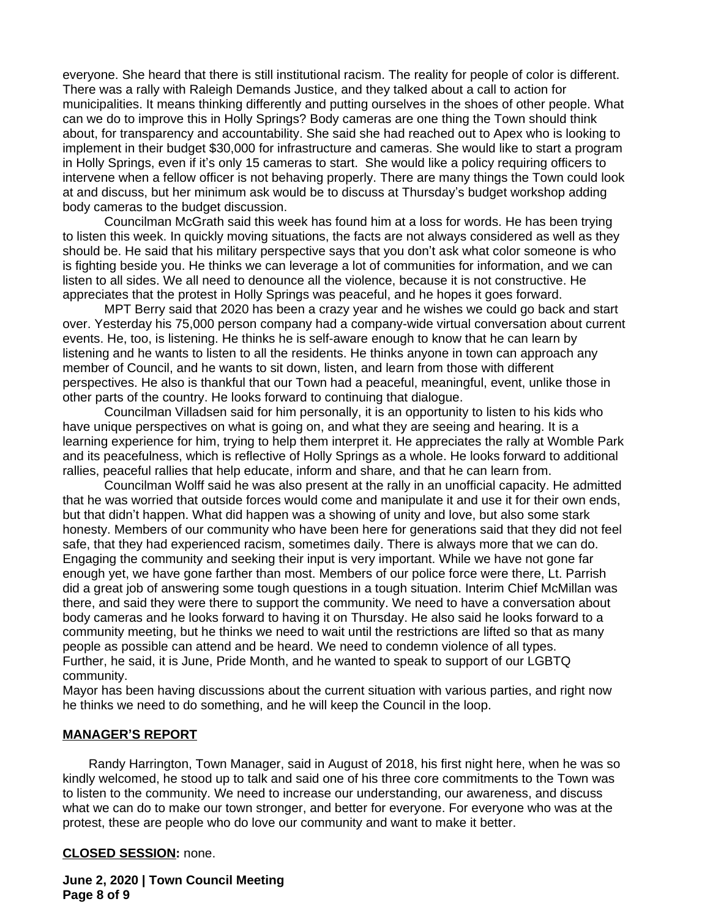everyone. She heard that there is still institutional racism. The reality for people of color is different. There was a rally with Raleigh Demands Justice, and they talked about a call to action for municipalities. It means thinking differently and putting ourselves in the shoes of other people. What can we do to improve this in Holly Springs? Body cameras are one thing the Town should think about, for transparency and accountability. She said she had reached out to Apex who is looking to implement in their budget \$30,000 for infrastructure and cameras. She would like to start a program in Holly Springs, even if it's only 15 cameras to start. She would like a policy requiring officers to intervene when a fellow officer is not behaving properly. There are many things the Town could look at and discuss, but her minimum ask would be to discuss at Thursday's budget workshop adding body cameras to the budget discussion.

Councilman McGrath said this week has found him at a loss for words. He has been trying to listen this week. In quickly moving situations, the facts are not always considered as well as they should be. He said that his military perspective says that you don't ask what color someone is who is fighting beside you. He thinks we can leverage a lot of communities for information, and we can listen to all sides. We all need to denounce all the violence, because it is not constructive. He appreciates that the protest in Holly Springs was peaceful, and he hopes it goes forward.

MPT Berry said that 2020 has been a crazy year and he wishes we could go back and start over. Yesterday his 75,000 person company had a company-wide virtual conversation about current events. He, too, is listening. He thinks he is self-aware enough to know that he can learn by listening and he wants to listen to all the residents. He thinks anyone in town can approach any member of Council, and he wants to sit down, listen, and learn from those with different perspectives. He also is thankful that our Town had a peaceful, meaningful, event, unlike those in other parts of the country. He looks forward to continuing that dialogue.

Councilman Villadsen said for him personally, it is an opportunity to listen to his kids who have unique perspectives on what is going on, and what they are seeing and hearing. It is a learning experience for him, trying to help them interpret it. He appreciates the rally at Womble Park and its peacefulness, which is reflective of Holly Springs as a whole. He looks forward to additional rallies, peaceful rallies that help educate, inform and share, and that he can learn from.

Councilman Wolff said he was also present at the rally in an unofficial capacity. He admitted that he was worried that outside forces would come and manipulate it and use it for their own ends, but that didn't happen. What did happen was a showing of unity and love, but also some stark honesty. Members of our community who have been here for generations said that they did not feel safe, that they had experienced racism, sometimes daily. There is always more that we can do. Engaging the community and seeking their input is very important. While we have not gone far enough yet, we have gone farther than most. Members of our police force were there, Lt. Parrish did a great job of answering some tough questions in a tough situation. Interim Chief McMillan was there, and said they were there to support the community. We need to have a conversation about body cameras and he looks forward to having it on Thursday. He also said he looks forward to a community meeting, but he thinks we need to wait until the restrictions are lifted so that as many people as possible can attend and be heard. We need to condemn violence of all types. Further, he said, it is June, Pride Month, and he wanted to speak to support of our LGBTQ community.

Mayor has been having discussions about the current situation with various parties, and right now he thinks we need to do something, and he will keep the Council in the loop.

#### **MANAGER'S REPORT**

Randy Harrington, Town Manager, said in August of 2018, his first night here, when he was so kindly welcomed, he stood up to talk and said one of his three core commitments to the Town was to listen to the community. We need to increase our understanding, our awareness, and discuss what we can do to make our town stronger, and better for everyone. For everyone who was at the protest, these are people who do love our community and want to make it better.

#### **CLOSED SESSION:** none.

**June 2, 2020 | Town Council Meeting Page 8 of 9**